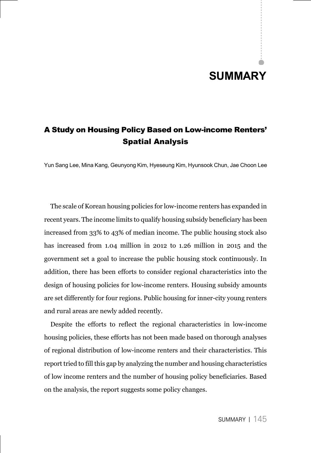## **SUMMARY**

## A Study on Housing Policy Based on Low-income Renters' Spatial Analysis

Yun Sang Lee, Mina Kang, Geunyong Kim, Hyeseung Kim, Hyunsook Chun, Jae Choon Lee

The scale of Korean housing policies for low-income renters has expanded in recent years. The income limits to qualify housing subsidy beneficiary has been increased from 33% to 43% of median income. The public housing stock also has increased from 1.04 million in 2012 to 1.26 million in 2015 and the government set a goal to increase the public housing stock continuously. In addition, there has been efforts to consider regional characteristics into the design of housing policies for low-income renters. Housing subsidy amounts are set differently for four regions. Public housing for inner-city young renters and rural areas are newly added recently.

Despite the efforts to reflect the regional characteristics in low-income housing policies, these efforts has not been made based on thorough analyses of regional distribution of low-income renters and their characteristics. This report tried to fill this gap by analyzing the number and housing characteristics of low income renters and the number of housing policy beneficiaries. Based on the analysis, the report suggests some policy changes.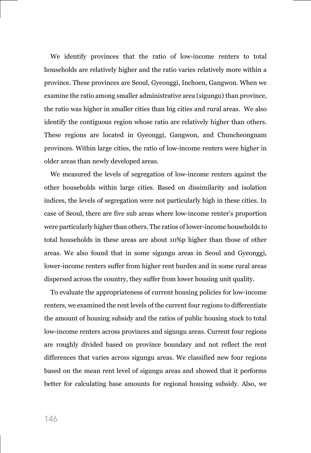We identify provinces that the ratio of low-income renters to total households are relatively higher and the ratio varies relatively more within a province. These provinces are Seoul, Gyeonggi, Inchoen, Gangwon. When we examine the ratio among smaller administrative area (sigungu) than province, the ratio was higher in smaller cities than big cities and rural areas. We also identify the contiguous region whose ratio are relatively higher than others. These regions are located in Gyeonggi, Gangwon, and Chuncheongnam provinces. Within large cities, the ratio of low-income renters were higher in older areas than newly developed areas.

We measured the levels of segregation of low-income renters against the other households within large cities. Based on dissimilarity and isolation indices, the levels of segregation were not particularly high in these cities. In case of Seoul, there are five sub areas where low-income renter's proportion were particularly higher than others. The ratios of lower-income households to total households in these areas are about 10%p higher than those of other areas. We also found that in some sigungu areas in Seoul and Gyeonggi, lower-income renters suffer from higher rent burden and in some rural areas dispersed across the country, they suffer from lower housing unit quality.

To evaluate the appropriateness of current housing policies for low-income renters, we examined the rent levels of the current four regions to differentiate the amount of housing subsidy and the ratios of public housing stock to total low-income renters across provinces and sigungu areas. Current four regions are roughly divided based on province boundary and not reflect the rent differences that varies across sigungu areas. We classified new four regions based on the mean rent level of sigungu areas and showed that it performs better for calculating base amounts for regional housing subsidy. Also, we